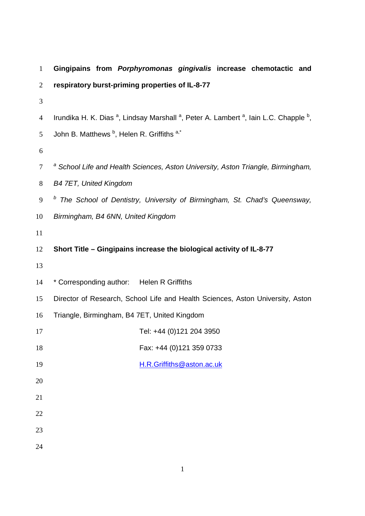| $\mathbf{1}$   | Gingipains from Porphyromonas gingivalis increase chemotactic and                                                                   |
|----------------|-------------------------------------------------------------------------------------------------------------------------------------|
| $\overline{2}$ | respiratory burst-priming properties of IL-8-77                                                                                     |
| 3              |                                                                                                                                     |
| 4              | Irundika H. K. Dias <sup>a</sup> , Lindsay Marshall <sup>a</sup> , Peter A. Lambert <sup>a</sup> , Iain L.C. Chapple <sup>b</sup> , |
| 5              | John B. Matthews <sup>b</sup> , Helen R. Griffiths a,*                                                                              |
| 6              |                                                                                                                                     |
| $\tau$         | <sup>a</sup> School Life and Health Sciences, Aston University, Aston Triangle, Birmingham,                                         |
| $8\,$          | <b>B4 7ET, United Kingdom</b>                                                                                                       |
| 9              | <sup>b</sup> The School of Dentistry, University of Birmingham, St. Chad's Queensway,                                               |
| 10             | Birmingham, B4 6NN, United Kingdom                                                                                                  |
| 11             |                                                                                                                                     |
| 12             | Short Title - Gingipains increase the biological activity of IL-8-77                                                                |
| 13             |                                                                                                                                     |
| 14             | * Corresponding author: Helen R Griffiths                                                                                           |
| 15             | Director of Research, School Life and Health Sciences, Aston University, Aston                                                      |
| 16             | Triangle, Birmingham, B4 7ET, United Kingdom                                                                                        |
| 17             | Tel: +44 (0)121 204 3950                                                                                                            |
| 18             | Fax: +44 (0)121 359 0733                                                                                                            |
| 19             | H.R.Griffiths@aston.ac.uk                                                                                                           |
| 20             |                                                                                                                                     |
| 21             |                                                                                                                                     |
| 22             |                                                                                                                                     |
| 23             |                                                                                                                                     |
| 24             |                                                                                                                                     |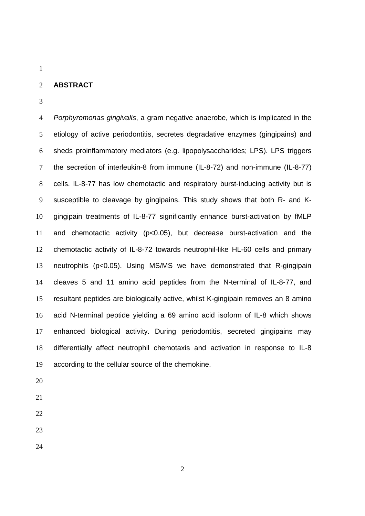## **ABSTRACT**

4 Porphyromonas gingivalis, a gram negative anaerobe, which is implicated in the etiology of active periodontitis, secretes degradative enzymes (gingipains) and sheds proinflammatory mediators (e.g. lipopolysaccharides; LPS). LPS triggers the secretion of interleukin-8 from immune (IL-8-72) and non-immune (IL-8-77) cells. IL-8-77 has low chemotactic and respiratory burst-inducing activity but is susceptible to cleavage by gingipains. This study shows that both R- and K-gingipain treatments of IL-8-77 significantly enhance burst-activation by fMLP and chemotactic activity (p<0.05), but decrease burst-activation and the chemotactic activity of IL-8-72 towards neutrophil-like HL-60 cells and primary neutrophils (p<0.05). Using MS/MS we have demonstrated that R-gingipain cleaves 5 and 11 amino acid peptides from the N-terminal of IL-8-77, and resultant peptides are biologically active, whilst K-gingipain removes an 8 amino acid N-terminal peptide yielding a 69 amino acid isoform of IL-8 which shows enhanced biological activity. During periodontitis, secreted gingipains may differentially affect neutrophil chemotaxis and activation in response to IL-8 according to the cellular source of the chemokine.

- 
- 
- 
- 
-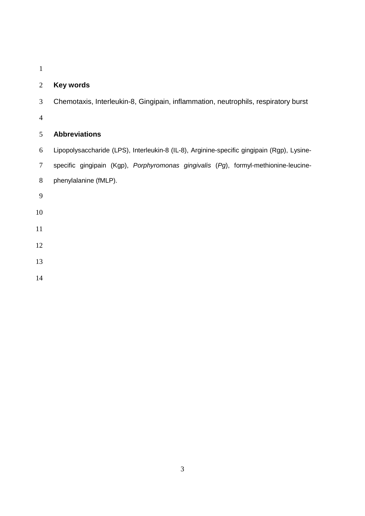# **Key words**

Chemotaxis, Interleukin-8, Gingipain, inflammation, neutrophils, respiratory burst

# **Abbreviations**

- Lipopolysaccharide (LPS), Interleukin-8 (IL-8), Arginine-specific gingipain (Rgp), Lysine-
- specific gingipain (Kgp), Porphyromonas gingivalis (Pg), formyl-methionine-leucine-
- phenylalanine (fMLP).
- 
- 
- 
- 
- 
- 
-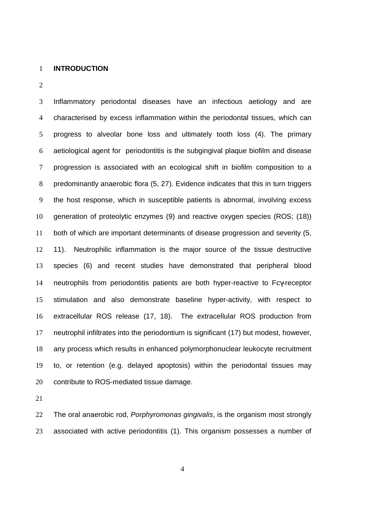#### **INTRODUCTION**

Inflammatory periodontal diseases have an infectious aetiology and are characterised by excess inflammation within the periodontal tissues, which can progress to alveolar bone loss and ultimately tooth loss (4). The primary aetiological agent for periodontitis is the subgingival plaque biofilm and disease progression is associated with an ecological shift in biofilm composition to a predominantly anaerobic flora (5, 27). Evidence indicates that this in turn triggers the host response, which in susceptible patients is abnormal, involving excess generation of proteolytic enzymes (9) and reactive oxygen species (ROS; (18)) both of which are important determinants of disease progression and severity (5, 11). Neutrophilic inflammation is the major source of the tissue destructive species (6) and recent studies have demonstrated that peripheral blood neutrophils from periodontitis patients are both hyper-reactive to Fcγ-receptor stimulation and also demonstrate baseline hyper-activity, with respect to extracellular ROS release (17, 18). The extracellular ROS production from neutrophil infiltrates into the periodontium is significant (17) but modest, however, any process which results in enhanced polymorphonuclear leukocyte recruitment to, or retention (e.g. delayed apoptosis) within the periodontal tissues may contribute to ROS-mediated tissue damage.

22 The oral anaerobic rod, *Porphyromonas gingivalis*, is the organism most strongly associated with active periodontitis (1). This organism possesses a number of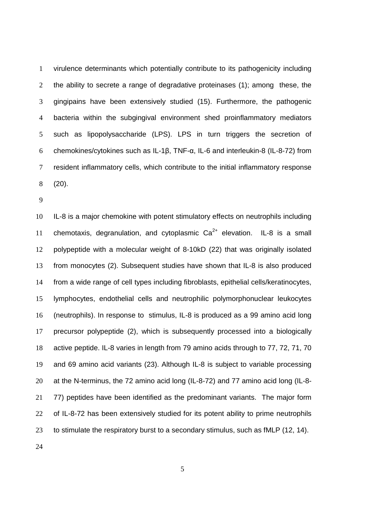virulence determinants which potentially contribute to its pathogenicity including 2 the ability to secrete a range of degradative proteinases (1); among these, the gingipains have been extensively studied (15). Furthermore, the pathogenic bacteria within the subgingival environment shed proinflammatory mediators such as lipopolysaccharide (LPS). LPS in turn triggers the secretion of chemokines/cytokines such as IL-1β, TNF-α, IL-6 and interleukin-8 (IL-8-72) from resident inflammatory cells, which contribute to the initial inflammatory response (20).

IL-8 is a major chemokine with potent stimulatory effects on neutrophils including 11 chemotaxis, degranulation, and cytoplasmic  $Ca^{2+}$  elevation. IL-8 is a small polypeptide with a molecular weight of 8-10kD (22) that was originally isolated from monocytes (2). Subsequent studies have shown that IL-8 is also produced from a wide range of cell types including fibroblasts, epithelial cells/keratinocytes, lymphocytes, endothelial cells and neutrophilic polymorphonuclear leukocytes (neutrophils). In response to stimulus, IL-8 is produced as a 99 amino acid long precursor polypeptide (2), which is subsequently processed into a biologically active peptide. IL-8 varies in length from 79 amino acids through to 77, 72, 71, 70 and 69 amino acid variants (23). Although IL-8 is subject to variable processing at the N-terminus, the 72 amino acid long (IL-8-72) and 77 amino acid long (IL-8- 77) peptides have been identified as the predominant variants. The major form 22 of IL-8-72 has been extensively studied for its potent ability to prime neutrophils to stimulate the respiratory burst to a secondary stimulus, such as fMLP (12, 14).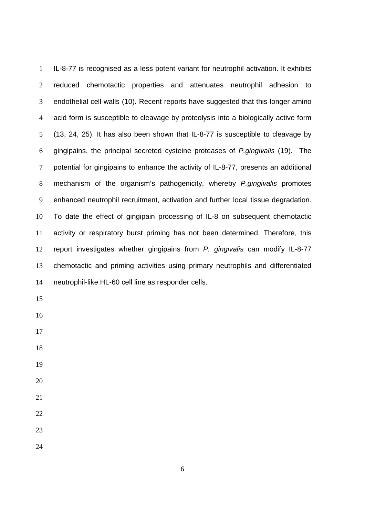IL-8-77 is recognised as a less potent variant for neutrophil activation. It exhibits reduced chemotactic properties and attenuates neutrophil adhesion to endothelial cell walls (10). Recent reports have suggested that this longer amino acid form is susceptible to cleavage by proteolysis into a biologically active form (13, 24, 25). It has also been shown that IL-8-77 is susceptible to cleavage by gingipains, the principal secreted cysteine proteases of P.gingivalis (19). The potential for gingipains to enhance the activity of IL-8-77, presents an additional 8 mechanism of the organism's pathogenicity, whereby P.gingivalis promotes enhanced neutrophil recruitment, activation and further local tissue degradation. To date the effect of gingipain processing of IL-8 on subsequent chemotactic activity or respiratory burst priming has not been determined. Therefore, this report investigates whether gingipains from P. gingivalis can modify IL-8-77 chemotactic and priming activities using primary neutrophils and differentiated neutrophil-like HL-60 cell line as responder cells.

- 
- 

- 
-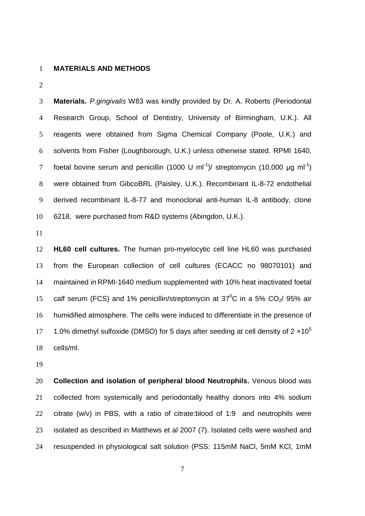### **MATERIALS AND METHODS**

**Materials.** P.gingivalis W83 was kindly provided by Dr. A. Roberts (Periodontal Research Group, School of Dentistry, University of Birmingham, U.K.). All reagents were obtained from Sigma Chemical Company (Poole, U.K.) and solvents from Fisher (Loughborough, U.K.) unless otherwise stated. RPMI 1640, 7 foetal bovine serum and penicillin (1000 U ml<sup>-1</sup>)/ streptomycin (10,000 µg ml<sup>-1</sup>) were obtained from GibcoBRL (Paisley, U.K.). Recombinant IL-8-72 endothelial derived recombinant IL-8-77 and monoclonal anti-human IL-8 antibody, clone 6218, were purchased from R&D systems (Abingdon, U.K.).

**HL60 cell cultures.** The human pro-myelocytic cell line HL60 was purchased from the European collection of cell cultures (ECACC no 98070101) and maintained in RPMI-1640 medium supplemented with 10% heat inactivated foetal 15 calf serum (FCS) and 1% penicillin/streptomycin at  $37^0C$  in a 5% CO<sub>2</sub>/ 95% air humidified atmosphere. The cells were induced to differentiate in the presence of 1.0% dimethyl sulfoxide (DMSO) for 5 days after seeding at cell density of  $2 \times 10^5$  cells/ml.

**Collection and isolation of peripheral blood Neutrophils.** Venous blood was collected from systemically and periodontally healthy donors into 4% sodium citrate (w/v) in PBS, with a ratio of citrate:blood of 1:9 and neutrophils were isolated as described in Matthews et al 2007 (7). Isolated cells were washed and resuspended in physiological salt solution (PSS: 115mM NaCl, 5mM KCl, 1mM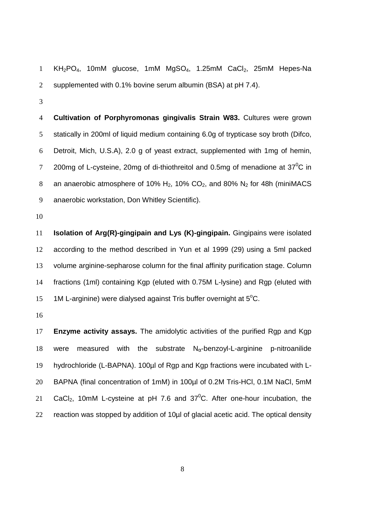1 KH<sub>2</sub>PO<sub>4</sub>, 10mM glucose, 1mM MgSO<sub>4</sub>, 1.25mM CaCl<sub>2</sub>, 25mM Hepes-Na supplemented with 0.1% bovine serum albumin (BSA) at pH 7.4).

**Cultivation of Porphyromonas gingivalis Strain W83.** Cultures were grown statically in 200ml of liquid medium containing 6.0g of trypticase soy broth (Difco, Detroit, Mich, U.S.A), 2.0 g of yeast extract, supplemented with 1mg of hemin, 7 200mg of L-cysteine, 20mg of di-thiothreitol and 0.5mg of menadione at 37<sup>0</sup>C in 8 an anaerobic atmosphere of 10%  $H_2$ , 10%  $CO_2$ , and 80%  $N_2$  for 48h (miniMACS anaerobic workstation, Don Whitley Scientific).

**Isolation of Arg(R)-gingipain and Lys (K)-gingipain.** Gingipains were isolated according to the method described in Yun et al 1999 (29) using a 5ml packed volume arginine-sepharose column for the final affinity purification stage. Column fractions (1ml) containing Kgp (eluted with 0.75M L-lysine) and Rgp (eluted with 15 1M L-arginine) were dialysed against Tris buffer overnight at  $5^{\circ}$ C.

**Enzyme activity assays.** The amidolytic activities of the purified Rgp and Kgp 18 were measured with the substrate  $N_\alpha$ -benzoyl-L-arginine p-nitroanilide hydrochloride (L-BAPNA). 100µl of Rgp and Kgp fractions were incubated with L-BAPNA (final concentration of 1mM) in 100µl of 0.2M Tris-HCl, 0.1M NaCl, 5mM 21 CaCl<sub>2</sub>, 10mM L-cysteine at pH 7.6 and  $37^{\circ}$ C. After one-hour incubation, the reaction was stopped by addition of 10µl of glacial acetic acid. The optical density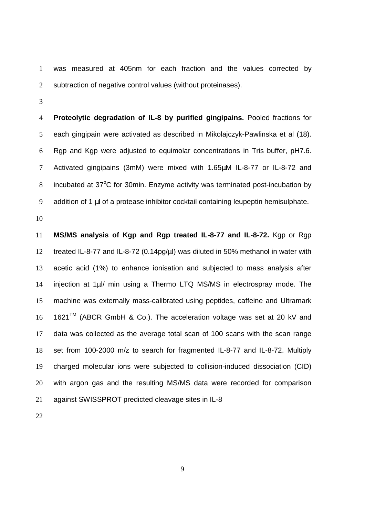was measured at 405nm for each fraction and the values corrected by 2 subtraction of negative control values (without proteinases).

**Proteolytic degradation of IL-8 by purified gingipains.** Pooled fractions for each gingipain were activated as described in Mikolajczyk-Pawlinska et al (18). Rgp and Kgp were adjusted to equimolar concentrations in Tris buffer, pH7.6. Activated gingipains (3mM) were mixed with 1.65µM IL-8-77 or IL-8-72 and 8 incubated at 37°C for 30min. Enzyme activity was terminated post-incubation by 9 addition of 1 ul of a protease inhibitor cocktail containing leupeptin hemisulphate.

**MS/MS analysis of Kgp and Rgp treated IL-8-77 and IL-8-72.** Kgp or Rgp treated IL-8-77 and IL-8-72 (0.14pg/µl) was diluted in 50% methanol in water with acetic acid (1%) to enhance ionisation and subjected to mass analysis after 14 injection at 1µl/ min using a Thermo LTQ MS/MS in electrospray mode. The machine was externally mass-calibrated using peptides, caffeine and Ultramark  $1621^{TM}$  (ABCR GmbH & Co.). The acceleration voltage was set at 20 kV and data was collected as the average total scan of 100 scans with the scan range set from 100-2000 m/z to search for fragmented IL-8-77 and IL-8-72. Multiply charged molecular ions were subjected to collision-induced dissociation (CID) with argon gas and the resulting MS/MS data were recorded for comparison against SWISSPROT predicted cleavage sites in IL-8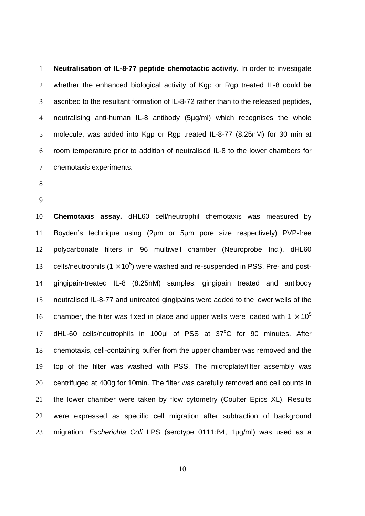**Neutralisation of IL-8-77 peptide chemotactic activity.** In order to investigate 2 whether the enhanced biological activity of Kgp or Rgp treated IL-8 could be ascribed to the resultant formation of IL-8-72 rather than to the released peptides, neutralising anti-human IL-8 antibody (5µg/ml) which recognises the whole molecule, was added into Kgp or Rgp treated IL-8-77 (8.25nM) for 30 min at room temperature prior to addition of neutralised IL-8 to the lower chambers for chemotaxis experiments.

- 
- 

**Chemotaxis assay.** dHL60 cell/neutrophil chemotaxis was measured by Boyden's technique using (2µm or 5µm pore size respectively) PVP-free polycarbonate filters in 96 multiwell chamber (Neuroprobe Inc.). dHL60 13 cells/neutrophils  $(1 \times 10^5)$  were washed and re-suspended in PSS. Pre- and post-gingipain-treated IL-8 (8.25nM) samples, gingipain treated and antibody neutralised IL-8-77 and untreated gingipains were added to the lower wells of the chamber, the filter was fixed in place and upper wells were loaded with  $1 \times 10^5$  17 dHL-60 cells/neutrophils in 100µl of PSS at 37°C for 90 minutes. After chemotaxis, cell-containing buffer from the upper chamber was removed and the top of the filter was washed with PSS. The microplate/filter assembly was centrifuged at 400g for 10min. The filter was carefully removed and cell counts in the lower chamber were taken by flow cytometry (Coulter Epics XL). Results were expressed as specific cell migration after subtraction of background 23 migration. Escherichia Coli LPS (serotype 0111:B4, 1µg/ml) was used as a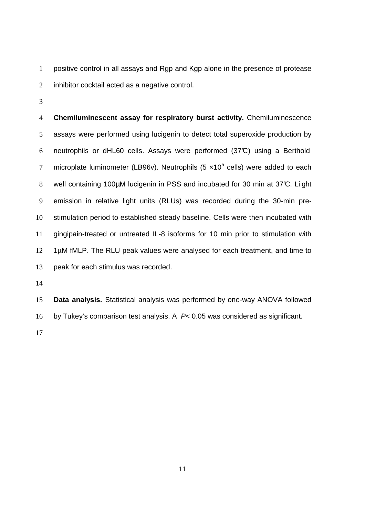positive control in all assays and Rgp and Kgp alone in the presence of protease 2 inhibitor cocktail acted as a negative control.

**Chemiluminescent assay for respiratory burst activity.** Chemiluminescence assays were performed using lucigenin to detect total superoxide production by neutrophils or dHL60 cells. Assays were performed (37°C) using a Berthold 7 microplate luminometer (LB96v). Neutrophils (5  $\times$ 10<sup>5</sup> cells) were added to each 8 well containing 100µM lucigenin in PSS and incubated for 30 min at 37°C. Li ght emission in relative light units (RLUs) was recorded during the 30-min pre-stimulation period to established steady baseline. Cells were then incubated with gingipain-treated or untreated IL-8 isoforms for 10 min prior to stimulation with 12 1µM fMLP. The RLU peak values were analysed for each treatment, and time to peak for each stimulus was recorded.

**Data analysis.** Statistical analysis was performed by one-way ANOVA followed by Tukey's comparison test analysis. A P< 0.05 was considered as significant.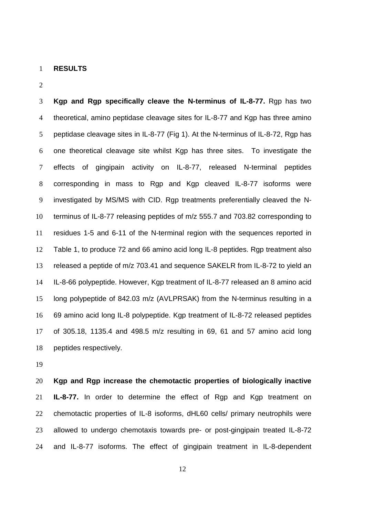#### **RESULTS**

 $\overline{2}$ 

**Kgp and Rgp specifically cleave the N-terminus of IL-8-77.** Rgp has two theoretical, amino peptidase cleavage sites for IL-8-77 and Kgp has three amino peptidase cleavage sites in IL-8-77 (Fig 1). At the N-terminus of IL-8-72, Rgp has one theoretical cleavage site whilst Kgp has three sites. To investigate the effects of gingipain activity on IL-8-77, released N-terminal peptides corresponding in mass to Rgp and Kgp cleaved IL-8-77 isoforms were investigated by MS/MS with CID. Rgp treatments preferentially cleaved the N-terminus of IL-8-77 releasing peptides of m/z 555.7 and 703.82 corresponding to residues 1-5 and 6-11 of the N-terminal region with the sequences reported in Table 1, to produce 72 and 66 amino acid long IL-8 peptides. Rgp treatment also released a peptide of m/z 703.41 and sequence SAKELR from IL-8-72 to yield an IL-8-66 polypeptide. However, Kgp treatment of IL-8-77 released an 8 amino acid long polypeptide of 842.03 m/z (AVLPRSAK) from the N-terminus resulting in a 69 amino acid long IL-8 polypeptide. Kgp treatment of IL-8-72 released peptides of 305.18, 1135.4 and 498.5 m/z resulting in 69, 61 and 57 amino acid long peptides respectively.

**Kgp and Rgp increase the chemotactic properties of biologically inactive IL-8-77.** In order to determine the effect of Rgp and Kgp treatment on 22 chemotactic properties of IL-8 isoforms, dHL60 cells/ primary neutrophils were allowed to undergo chemotaxis towards pre- or post-gingipain treated IL-8-72 and IL-8-77 isoforms. The effect of gingipain treatment in IL-8-dependent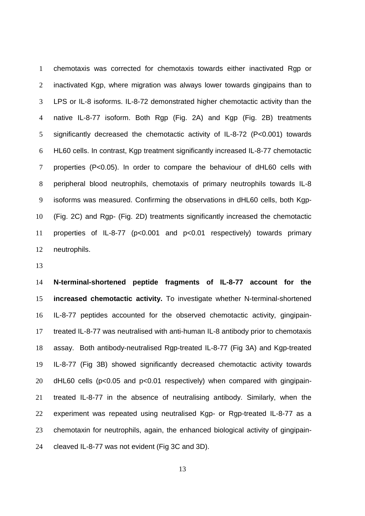chemotaxis was corrected for chemotaxis towards either inactivated Rgp or inactivated Kgp, where migration was always lower towards gingipains than to LPS or IL-8 isoforms. IL-8-72 demonstrated higher chemotactic activity than the native IL-8-77 isoform. Both Rgp (Fig. 2A) and Kgp (Fig. 2B) treatments significantly decreased the chemotactic activity of IL-8-72 (P<0.001) towards HL60 cells. In contrast, Kgp treatment significantly increased IL-8-77 chemotactic properties (P<0.05). In order to compare the behaviour of dHL60 cells with peripheral blood neutrophils, chemotaxis of primary neutrophils towards IL-8 isoforms was measured. Confirming the observations in dHL60 cells, both Kgp-(Fig. 2C) and Rgp- (Fig. 2D) treatments significantly increased the chemotactic properties of IL-8-77 (p<0.001 and p<0.01 respectively) towards primary neutrophils.

**N-terminal-shortened peptide fragments of IL-8-77 account for the increased chemotactic activity.** To investigate whether N-terminal-shortened IL-8-77 peptides accounted for the observed chemotactic activity, gingipain-treated IL-8-77 was neutralised with anti-human IL-8 antibody prior to chemotaxis assay. Both antibody-neutralised Rgp-treated IL-8-77 (Fig 3A) and Kgp-treated IL-8-77 (Fig 3B) showed significantly decreased chemotactic activity towards dHL60 cells (p<0.05 and p<0.01 respectively) when compared with gingipain-treated IL-8-77 in the absence of neutralising antibody. Similarly, when the experiment was repeated using neutralised Kgp- or Rgp-treated IL-8-77 as a chemotaxin for neutrophils, again, the enhanced biological activity of gingipain-cleaved IL-8-77 was not evident (Fig 3C and 3D).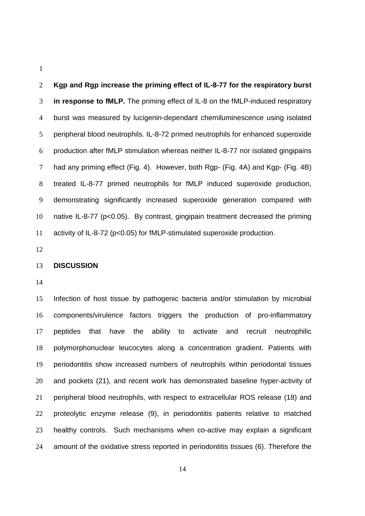**Kgp and Rgp increase the priming effect of IL-8-77 for the respiratory burst in response to fMLP.** The priming effect of IL-8 on the fMLP-induced respiratory burst was measured by lucigenin-dependant chemiluminescence using isolated peripheral blood neutrophils. IL-8-72 primed neutrophils for enhanced superoxide production after fMLP stimulation whereas neither IL-8-77 nor isolated gingipains had any priming effect (Fig. 4). However, both Rgp- (Fig. 4A) and Kgp- (Fig. 4B) treated IL-8-77 primed neutrophils for fMLP induced superoxide production, demonstrating significantly increased superoxide generation compared with native IL-8-77 (p<0.05). By contrast, gingipain treatment decreased the priming activity of IL-8-72 (p<0.05) for fMLP-stimulated superoxide production.

### **DISCUSSION**

Infection of host tissue by pathogenic bacteria and/or stimulation by microbial components/virulence factors triggers the production of pro-inflammatory peptides that have the ability to activate and recruit neutrophilic polymorphonuclear leucocytes along a concentration gradient. Patients with periodontitis show increased numbers of neutrophils within periodontal tissues and pockets (21), and recent work has demonstrated baseline hyper-activity of peripheral blood neutrophils, with respect to extracellular ROS release (18) and proteolytic enzyme release (9), in periodontitis patients relative to matched healthy controls. Such mechanisms when co-active may explain a significant amount of the oxidative stress reported in periodontitis tissues (6). Therefore the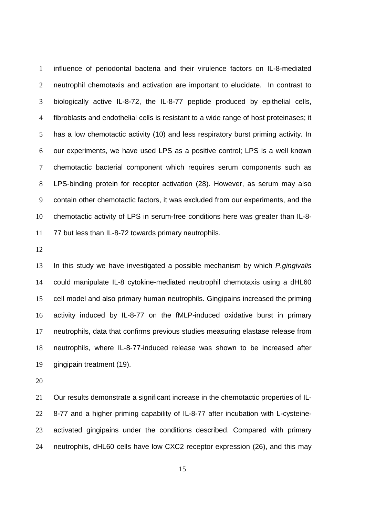influence of periodontal bacteria and their virulence factors on IL-8-mediated neutrophil chemotaxis and activation are important to elucidate. In contrast to biologically active IL-8-72, the IL-8-77 peptide produced by epithelial cells, fibroblasts and endothelial cells is resistant to a wide range of host proteinases; it has a low chemotactic activity (10) and less respiratory burst priming activity. In our experiments, we have used LPS as a positive control; LPS is a well known chemotactic bacterial component which requires serum components such as LPS-binding protein for receptor activation (28). However, as serum may also contain other chemotactic factors, it was excluded from our experiments, and the chemotactic activity of LPS in serum-free conditions here was greater than IL-8- 77 but less than IL-8-72 towards primary neutrophils.

13 In this study we have investigated a possible mechanism by which *P.gingivalis* could manipulate IL-8 cytokine-mediated neutrophil chemotaxis using a dHL60 cell model and also primary human neutrophils. Gingipains increased the priming activity induced by IL-8-77 on the fMLP-induced oxidative burst in primary neutrophils, data that confirms previous studies measuring elastase release from neutrophils, where IL-8-77-induced release was shown to be increased after gingipain treatment (19).

Our results demonstrate a significant increase in the chemotactic properties of IL-8-77 and a higher priming capability of IL-8-77 after incubation with L-cysteine-activated gingipains under the conditions described. Compared with primary neutrophils, dHL60 cells have low CXC2 receptor expression (26), and this may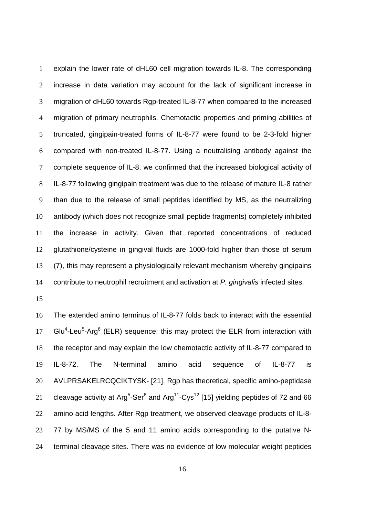explain the lower rate of dHL60 cell migration towards IL-8. The corresponding increase in data variation may account for the lack of significant increase in migration of dHL60 towards Rgp-treated IL-8-77 when compared to the increased migration of primary neutrophils. Chemotactic properties and priming abilities of truncated, gingipain-treated forms of IL-8-77 were found to be 2-3-fold higher compared with non-treated IL-8-77. Using a neutralising antibody against the complete sequence of IL-8, we confirmed that the increased biological activity of IL-8-77 following gingipain treatment was due to the release of mature IL-8 rather than due to the release of small peptides identified by MS, as the neutralizing antibody (which does not recognize small peptide fragments) completely inhibited the increase in activity. Given that reported concentrations of reduced glutathione/cysteine in gingival fluids are 1000-fold higher than those of serum (7), this may represent a physiologically relevant mechanism whereby gingipains 14 contribute to neutrophil recruitment and activation at P. gingivalis infected sites.

The extended amino terminus of IL-8-77 folds back to interact with the essential 17 Glu<sup>4</sup>-Leu<sup>5</sup>-Arg<sup>6</sup> (ELR) sequence; this may protect the ELR from interaction with the receptor and may explain the low chemotactic activity of IL-8-77 compared to IL-8-72. The N-terminal amino acid sequence of IL-8-77 is AVLPRSAKELRCQCIKTYSK- [21]. Rgp has theoretical, specific amino-peptidase 21 cleavage activity at Arg<sup>5</sup>-Ser<sup>6</sup> and Arg<sup>11</sup>-Cys<sup>12</sup> [15] yielding peptides of 72 and 66 amino acid lengths. After Rgp treatment, we observed cleavage products of IL-8- 77 by MS/MS of the 5 and 11 amino acids corresponding to the putative N-terminal cleavage sites. There was no evidence of low molecular weight peptides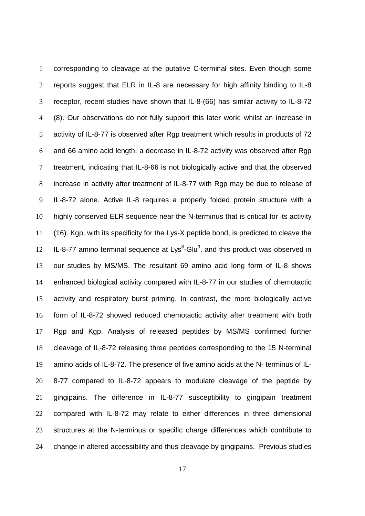corresponding to cleavage at the putative C-terminal sites. Even though some reports suggest that ELR in IL-8 are necessary for high affinity binding to IL-8 receptor, recent studies have shown that IL-8-(66) has similar activity to IL-8-72 (8). Our observations do not fully support this later work; whilst an increase in activity of IL-8-77 is observed after Rgp treatment which results in products of 72 and 66 amino acid length, a decrease in IL-8-72 activity was observed after Rgp treatment, indicating that IL-8-66 is not biologically active and that the observed increase in activity after treatment of IL-8-77 with Rgp may be due to release of IL-8-72 alone. Active IL-8 requires a properly folded protein structure with a highly conserved ELR sequence near the N-terminus that is critical for its activity (16). Kgp, with its specificity for the Lys-X peptide bond, is predicted to cleave the  $IL-8-77$  amino terminal sequence at  $Lys<sup>8</sup>-Glu<sup>9</sup>$ , and this product was observed in our studies by MS/MS. The resultant 69 amino acid long form of IL-8 shows enhanced biological activity compared with IL-8-77 in our studies of chemotactic activity and respiratory burst priming. In contrast, the more biologically active form of IL-8-72 showed reduced chemotactic activity after treatment with both Rgp and Kgp. Analysis of released peptides by MS/MS confirmed further cleavage of IL-8-72 releasing three peptides corresponding to the 15 N-terminal amino acids of IL-8-72. The presence of five amino acids at the N- terminus of IL-8-77 compared to IL-8-72 appears to modulate cleavage of the peptide by gingipains. The difference in IL-8-77 susceptibility to gingipain treatment compared with IL-8-72 may relate to either differences in three dimensional structures at the N-terminus or specific charge differences which contribute to change in altered accessibility and thus cleavage by gingipains. Previous studies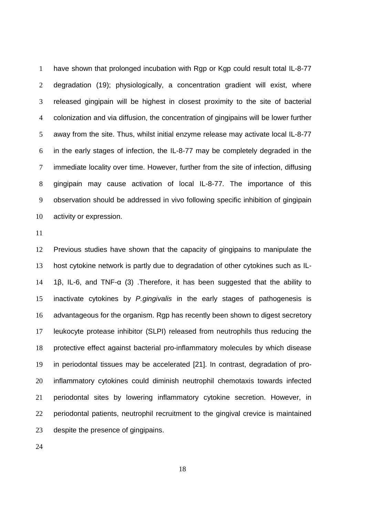have shown that prolonged incubation with Rgp or Kgp could result total IL-8-77 degradation (19); physiologically, a concentration gradient will exist, where released gingipain will be highest in closest proximity to the site of bacterial colonization and via diffusion, the concentration of gingipains will be lower further away from the site. Thus, whilst initial enzyme release may activate local IL-8-77 in the early stages of infection, the IL-8-77 may be completely degraded in the immediate locality over time. However, further from the site of infection, diffusing gingipain may cause activation of local IL-8-77. The importance of this observation should be addressed in vivo following specific inhibition of gingipain activity or expression.

Previous studies have shown that the capacity of gingipains to manipulate the host cytokine network is partly due to degradation of other cytokines such as IL-1β, IL-6, and TNF-α (3) .Therefore, it has been suggested that the ability to 15 inactivate cytokines by P.gingivalis in the early stages of pathogenesis is advantageous for the organism. Rgp has recently been shown to digest secretory leukocyte protease inhibitor (SLPI) released from neutrophils thus reducing the protective effect against bacterial pro-inflammatory molecules by which disease in periodontal tissues may be accelerated [21]. In contrast, degradation of pro-inflammatory cytokines could diminish neutrophil chemotaxis towards infected periodontal sites by lowering inflammatory cytokine secretion. However, in periodontal patients, neutrophil recruitment to the gingival crevice is maintained despite the presence of gingipains.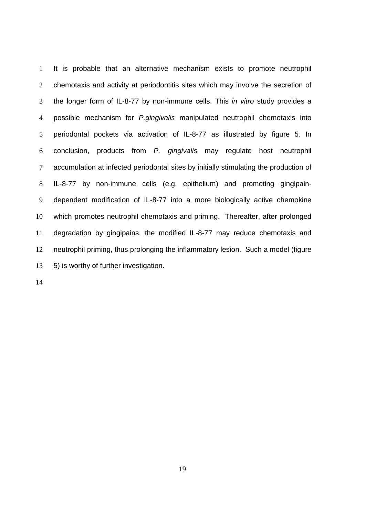It is probable that an alternative mechanism exists to promote neutrophil chemotaxis and activity at periodontitis sites which may involve the secretion of 3 the longer form of IL-8-77 by non-immune cells. This in vitro study provides a 4 possible mechanism for *P.gingivalis* manipulated neutrophil chemotaxis into periodontal pockets via activation of IL-8-77 as illustrated by figure 5. In conclusion, products from P. gingivalis may regulate host neutrophil accumulation at infected periodontal sites by initially stimulating the production of IL-8-77 by non-immune cells (e.g. epithelium) and promoting gingipain-dependent modification of IL-8-77 into a more biologically active chemokine which promotes neutrophil chemotaxis and priming. Thereafter, after prolonged degradation by gingipains, the modified IL-8-77 may reduce chemotaxis and neutrophil priming, thus prolonging the inflammatory lesion. Such a model (figure 5) is worthy of further investigation.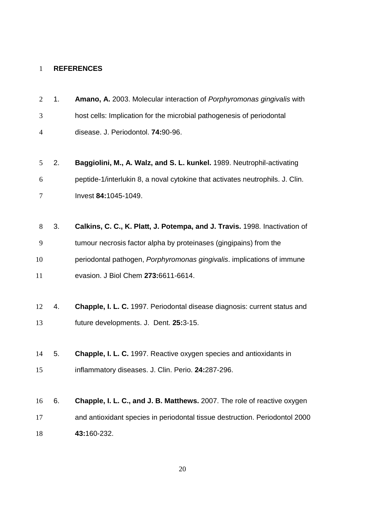# **REFERENCES**

| $\overline{2}$ | 1. | Amano, A. 2003. Molecular interaction of Porphyromonas gingivalis with        |
|----------------|----|-------------------------------------------------------------------------------|
| 3              |    | host cells: Implication for the microbial pathogenesis of periodontal         |
| $\overline{4}$ |    | disease. J. Periodontol. 74:90-96.                                            |
|                |    |                                                                               |
| 5              | 2. | Baggiolini, M., A. Walz, and S. L. kunkel. 1989. Neutrophil-activating        |
| 6              |    | peptide-1/interlukin 8, a noval cytokine that activates neutrophils. J. Clin. |
| 7              |    | Invest 84:1045-1049.                                                          |
|                |    |                                                                               |
| 8              | 3. | Calkins, C. C., K. Platt, J. Potempa, and J. Travis. 1998. Inactivation of    |
| 9              |    | tumour necrosis factor alpha by proteinases (gingipains) from the             |
| 10             |    | periodontal pathogen, Porphyromonas gingivalis. implications of immune        |
| 11             |    | evasion. J Biol Chem 273:6611-6614.                                           |
|                |    |                                                                               |
| 12             | 4. | Chapple, I. L. C. 1997. Periodontal disease diagnosis: current status and     |
| 13             |    | future developments. J. Dent. 25:3-15.                                        |
|                |    |                                                                               |
| 14             | 5. | <b>Chapple, I. L. C.</b> 1997. Reactive oxygen species and antioxidants in    |
| 15             |    | inflammatory diseases. J. Clin. Perio. 24:287-296.                            |
|                |    |                                                                               |
| 16             | 6. | Chapple, I. L. C., and J. B. Matthews. 2007. The role of reactive oxygen      |
| 17             |    | and antioxidant species in periodontal tissue destruction. Periodontol 2000   |
| 18             |    | 43:160-232.                                                                   |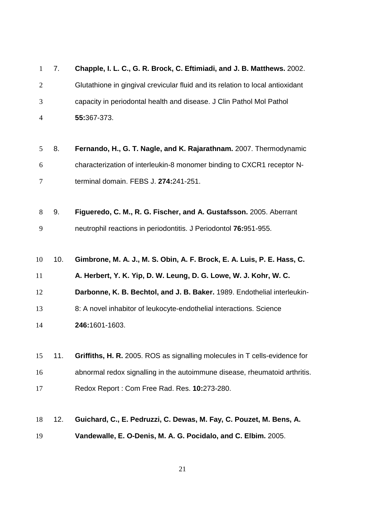| $\mathbf{1}$   | 7.  | Chapple, I. L. C., G. R. Brock, C. Eftimiadi, and J. B. Matthews. 2002.        |
|----------------|-----|--------------------------------------------------------------------------------|
| $\overline{2}$ |     | Glutathione in gingival crevicular fluid and its relation to local antioxidant |
| 3              |     | capacity in periodontal health and disease. J Clin Pathol Mol Pathol           |
| $\overline{4}$ |     | 55:367-373.                                                                    |
|                |     |                                                                                |
| 5              | 8.  | Fernando, H., G. T. Nagle, and K. Rajarathnam. 2007. Thermodynamic             |
| 6              |     | characterization of interleukin-8 monomer binding to CXCR1 receptor N-         |
| 7              |     | terminal domain. FEBS J. 274:241-251.                                          |
|                |     |                                                                                |
| 8              | 9.  | Figueredo, C. M., R. G. Fischer, and A. Gustafsson. 2005. Aberrant             |
| 9              |     | neutrophil reactions in periodontitis. J Periodontol 76:951-955.               |
|                |     |                                                                                |
| 10             |     | Gimbrone, M. A. J., M. S. Obin, A. F. Brock, E. A. Luis, P. E. Hass, C.        |
|                | 10. |                                                                                |
|                |     | A. Herbert, Y. K. Yip, D. W. Leung, D. G. Lowe, W. J. Kohr, W. C.              |
| 12             |     | Darbonne, K. B. Bechtol, and J. B. Baker. 1989. Endothelial interleukin-       |
| 11<br>13       |     | 8: A novel inhabitor of leukocyte-endothelial interactions. Science            |
| 14             |     | 246:1601-1603.                                                                 |
|                |     |                                                                                |
| 15             | 11. | Griffiths, H. R. 2005. ROS as signalling molecules in T cells-evidence for     |
| 16             |     | abnormal redox signalling in the autoimmune disease, rheumatoid arthritis.     |
| 17             |     | Redox Report: Com Free Rad. Res. 10:273-280.                                   |
|                |     |                                                                                |
| 18             | 12. | Guichard, C., E. Pedruzzi, C. Dewas, M. Fay, C. Pouzet, M. Bens, A.            |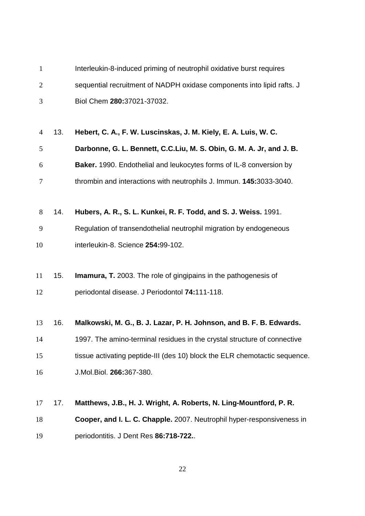| $\mathbf{1}$   |     | Interleukin-8-induced priming of neutrophil oxidative burst requires       |
|----------------|-----|----------------------------------------------------------------------------|
| $\overline{2}$ |     | sequential recruitment of NADPH oxidase components into lipid rafts. J     |
| 3              |     | Biol Chem 280:37021-37032.                                                 |
|                |     |                                                                            |
| $\overline{4}$ | 13. | Hebert, C. A., F. W. Luscinskas, J. M. Kiely, E. A. Luis, W. C.            |
| 5              |     | Darbonne, G. L. Bennett, C.C.Liu, M. S. Obin, G. M. A. Jr, and J. B.       |
| 6              |     | Baker. 1990. Endothelial and leukocytes forms of IL-8 conversion by        |
| 7              |     | thrombin and interactions with neutrophils J. Immun. 145:3033-3040.        |
|                |     |                                                                            |
| 8              | 14. | Hubers, A. R., S. L. Kunkei, R. F. Todd, and S. J. Weiss. 1991.            |
| 9              |     | Regulation of transendothelial neutrophil migration by endogeneous         |
| 10             |     | interleukin-8. Science 254:99-102.                                         |
|                |     |                                                                            |
| 11             | 15. | <b>Imamura, T.</b> 2003. The role of gingipains in the pathogenesis of     |
| 12             |     | periodontal disease. J Periodontol 74:111-118.                             |
|                |     |                                                                            |
| 13             | 16. | Malkowski, M. G., B. J. Lazar, P. H. Johnson, and B. F. B. Edwards.        |
| 14             |     | 1997. The amino-terminal residues in the crystal structure of connective   |
| 15             |     | tissue activating peptide-III (des 10) block the ELR chemotactic sequence. |
| 16             |     | J.Mol.Biol. 266:367-380.                                                   |
|                |     |                                                                            |
| 17             | 17. | Matthews, J.B., H. J. Wright, A. Roberts, N. Ling-Mountford, P. R.         |
| 18             |     | Cooper, and I. L. C. Chapple. 2007. Neutrophil hyper-responsiveness in     |
| 19             |     | periodontitis. J Dent Res 86:718-722                                       |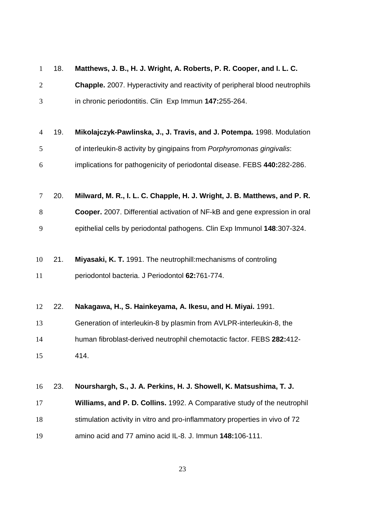| $\mathbf{1}$   | 18. | Matthews, J. B., H. J. Wright, A. Roberts, P. R. Cooper, and I. L. C.              |
|----------------|-----|------------------------------------------------------------------------------------|
| $\overline{2}$ |     | <b>Chapple.</b> 2007. Hyperactivity and reactivity of peripheral blood neutrophils |
| 3              |     | in chronic periodontitis. Clin Exp Immun 147:255-264.                              |
|                |     |                                                                                    |
| $\overline{4}$ | 19. | Mikolajczyk-Pawlinska, J., J. Travis, and J. Potempa. 1998. Modulation             |
| 5              |     | of interleukin-8 activity by gingipains from Porphyromonas gingivalis:             |
| 6              |     | implications for pathogenicity of periodontal disease. FEBS 440:282-286.           |
| 7              | 20. | Milward, M. R., I. L. C. Chapple, H. J. Wright, J. B. Matthews, and P. R.          |
| 8              |     | Cooper. 2007. Differential activation of NF-kB and gene expression in oral         |
| 9              |     | epithelial cells by periodontal pathogens. Clin Exp Immunol 148:307-324.           |
| 10             | 21. | Miyasaki, K. T. 1991. The neutrophill: mechanisms of controling                    |
| 11             |     | periodontol bacteria. J Periodontol 62:761-774.                                    |
| 12             | 22. | Nakagawa, H., S. Hainkeyama, A. Ikesu, and H. Miyai. 1991.                         |
| 13             |     | Generation of interleukin-8 by plasmin from AVLPR-interleukin-8, the               |
| 14             |     | human fibroblast-derived neutrophil chemotactic factor. FEBS 282:412-              |
| 15             |     | 414.                                                                               |
| 16             | 23. | Nourshargh, S., J. A. Perkins, H. J. Showell, K. Matsushima, T. J.                 |
| 17             |     | Williams, and P. D. Collins. 1992. A Comparative study of the neutrophil           |
| 18             |     | stimulation activity in vitro and pro-inflammatory properties in vivo of 72        |
| 19             |     | amino acid and 77 amino acid IL-8. J. Immun 148:106-111.                           |
|                |     |                                                                                    |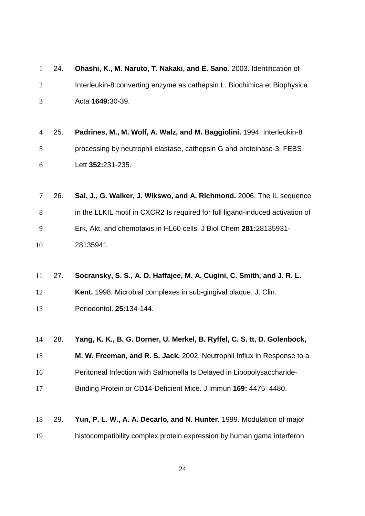|   | $1\quad 24.$ | Ohashi, K., M. Naruto, T. Nakaki, and E. Sano. 2003. Identification of   |  |  |  |  |
|---|--------------|--------------------------------------------------------------------------|--|--|--|--|
| 2 |              | Interleukin-8 converting enzyme as cathepsin L. Biochimica et Biophysica |  |  |  |  |
| 3 |              | Acta 1649:30-39.                                                         |  |  |  |  |

- 25. **Padrines, M., M. Wolf, A. Walz, and M. Baggiolini.** 1994. Interleukin-8 processing by neutrophil elastase, cathepsin G and proteinase-3. FEBS Lett **352:**231-235.
- 26. **Sai, J., G. Walker, J. Wikswo, and A. Richmond.** 2006. The IL sequence in the LLKIL motif in CXCR2 Is required for full ligand-induced activation of Erk, Akt, and chemotaxis in HL60 cells. J Biol Chem **281:**28135931- 28135941.
- 27. **Socransky, S. S., A. D. Haffajee, M. A. Cugini, C. Smith, and J. R. L. Kent.** 1998. Microbial complexes in sub-gingival plaque. J. Clin. Periodontol. **25:**134-144.
- 28. **Yang, K. K., B. G. Dorner, U. Merkel, B. Ryffel, C. S. tt, D. Golenbock,**

**M. W. Freeman, and R. S. Jack.** 2002. Neutrophil Influx in Response to a Peritoneal Infection with Salmonella Is Delayed in Lipopolysaccharide-

- Binding Protein or CD14-Deficient Mice. J Immun **169:** 4475–4480.
- 29. **Yun, P. L. W., A. A. Decarlo, and N. Hunter.** 1999. Modulation of major histocompatibility complex protein expression by human gama interferon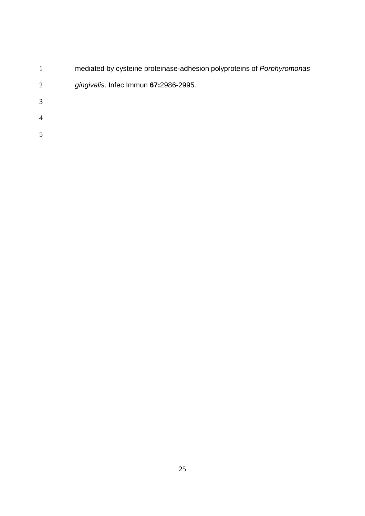|                | mediated by cysteine proteinase-adhesion polyproteins of <i>Porphyromonas</i> |
|----------------|-------------------------------------------------------------------------------|
| 2              | gingivalis. Infec Immun 67:2986-2995.                                         |
| 3              |                                                                               |
| $\overline{4}$ |                                                                               |
| 5              |                                                                               |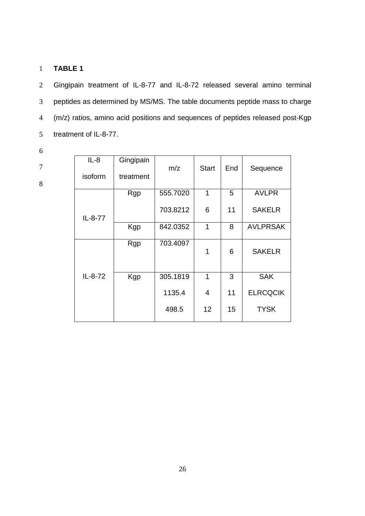## 1 **TABLE 1**

Gingipain treatment of IL-8-77 and IL-8-72 released several amino terminal peptides as determined by MS/MS. The table documents peptide mass to charge (m/z) ratios, amino acid positions and sequences of peptides released post-Kgp treatment of IL-8-77.

6

7

| $IL-8$<br>isoform | Gingipain<br>treatment | m/z      | <b>Start</b> | End | Sequence        |
|-------------------|------------------------|----------|--------------|-----|-----------------|
|                   | Rgp                    | 555.7020 | 1            | 5   | <b>AVLPR</b>    |
| IL-8-77           |                        | 703.8212 | 6            | 11  | <b>SAKELR</b>   |
|                   | Kgp                    | 842.0352 | 1            | 8   | <b>AVLPRSAK</b> |
|                   | Rgp                    | 703.4097 | 1            | 6   | <b>SAKELR</b>   |
| IL-8-72           | Kgp                    | 305.1819 | 1            | 3   | <b>SAK</b>      |
|                   |                        | 1135.4   | 4            | 11  | <b>ELRCQCIK</b> |
|                   |                        | 498.5    | 12           | 15  | <b>TYSK</b>     |
|                   |                        |          |              |     |                 |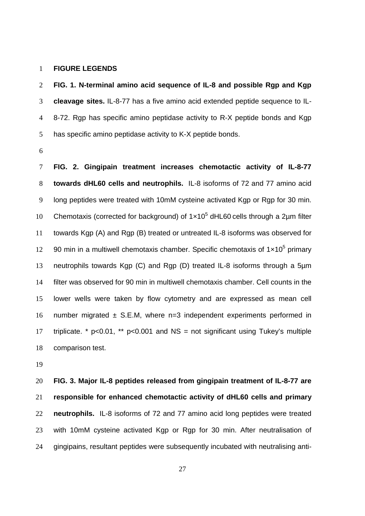### **FIGURE LEGENDS**

**FIG. 1. N-terminal amino acid sequence of IL-8 and possible Rgp and Kgp cleavage sites.** IL-8-77 has a five amino acid extended peptide sequence to IL-8-72. Rgp has specific amino peptidase activity to R-X peptide bonds and Kgp has specific amino peptidase activity to K-X peptide bonds.

**FIG. 2. Gingipain treatment increases chemotactic activity of IL-8-77 towards dHL60 cells and neutrophils.** IL-8 isoforms of 72 and 77 amino acid long peptides were treated with 10mM cysteine activated Kgp or Rgp for 30 min. 10 Chemotaxis (corrected for background) of  $1 \times 10^5$  dHL60 cells through a 2 $\mu$ m filter towards Kgp (A) and Rgp (B) treated or untreated IL-8 isoforms was observed for 12 90 min in a multiwell chemotaxis chamber. Specific chemotaxis of  $1 \times 10^5$  primary neutrophils towards Kgp (C) and Rgp (D) treated IL-8 isoforms through a 5µm filter was observed for 90 min in multiwell chemotaxis chamber. Cell counts in the lower wells were taken by flow cytometry and are expressed as mean cell 16 number migrated  $\pm$  S.E.M, where n=3 independent experiments performed in triplicate. \* p<0.01, \*\* p<0.001 and NS = not significant using Tukey's multiple comparison test.

**FIG. 3. Major IL-8 peptides released from gingipain treatment of IL-8-77 are responsible for enhanced chemotactic activity of dHL60 cells and primary neutrophils.** IL-8 isoforms of 72 and 77 amino acid long peptides were treated with 10mM cysteine activated Kgp or Rgp for 30 min. After neutralisation of gingipains, resultant peptides were subsequently incubated with neutralising anti-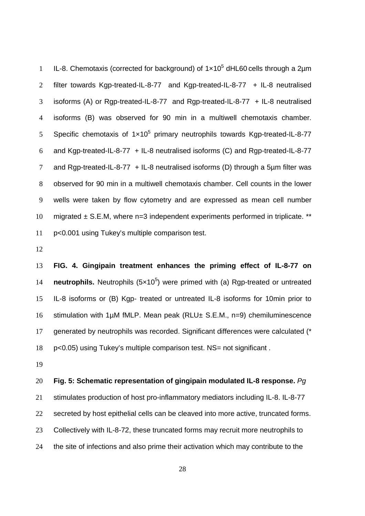I IL-8. Chemotaxis (corrected for background) of  $1 \times 10^5$  dHL60 cells through a 2 $\mu$ m filter towards Kgp-treated-IL-8-77 and Kgp-treated-IL-8-77 + IL-8 neutralised isoforms (A) or Rgp-treated-IL-8-77 and Rgp-treated-IL-8-77 + IL-8 neutralised isoforms (B) was observed for 90 min in a multiwell chemotaxis chamber. 5 Specific chemotaxis of  $1 \times 10^5$  primary neutrophils towards Kgp-treated-IL-8-77 and Kgp-treated-IL-8-77 + IL-8 neutralised isoforms (C) and Rgp-treated-IL-8-77 and Rgp-treated-IL-8-77 + IL-8 neutralised isoforms (D) through a 5µm filter was observed for 90 min in a multiwell chemotaxis chamber. Cell counts in the lower wells were taken by flow cytometry and are expressed as mean cell number 10 migrated  $\pm$  S.E.M, where n=3 independent experiments performed in triplicate. \*\* p<0.001 using Tukey's multiple comparison test.

**FIG. 4. Gingipain treatment enhances the priming effect of IL-8-77 on neutrophils.** Neutrophils (5x10<sup>5</sup>) were primed with (a) Rgp-treated or untreated IL-8 isoforms or (B) Kgp- treated or untreated IL-8 isoforms for 10min prior to 16 stimulation with 1µM fMLP. Mean peak (RLU± S.E.M., n=9) chemiluminescence generated by neutrophils was recorded. Significant differences were calculated (\* 18 p<0.05) using Tukey's multiple comparison test. NS= not significant.

## **Fig. 5: Schematic representation of gingipain modulated IL-8 response.** Pg

stimulates production of host pro-inflammatory mediators including IL-8. IL-8-77 secreted by host epithelial cells can be cleaved into more active, truncated forms. Collectively with IL-8-72, these truncated forms may recruit more neutrophils to the site of infections and also prime their activation which may contribute to the